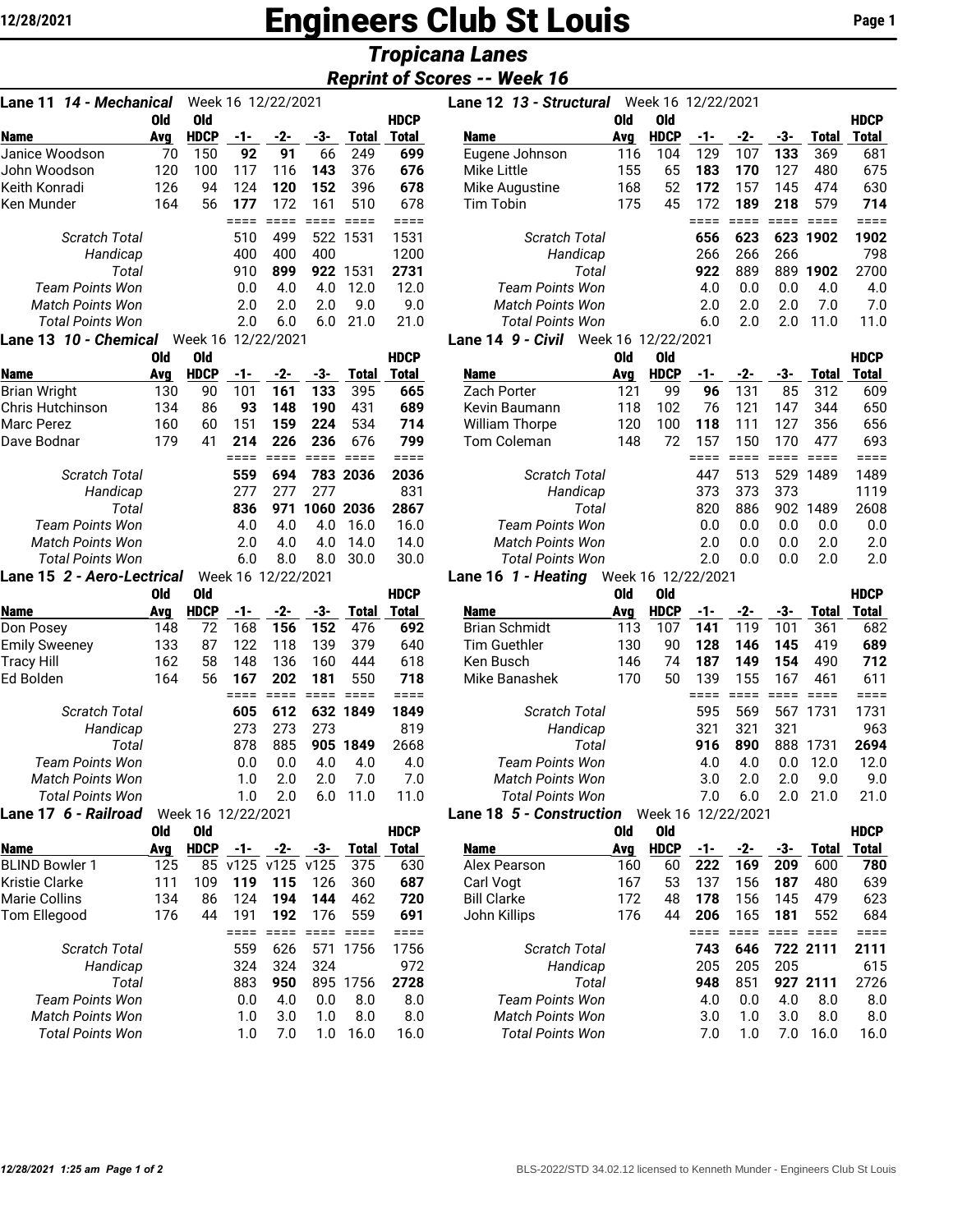# 12/28/2021 **Engineers Club St Louis** Page 1

# *Tropicana Lanes*

|          | <b>Reprint of Scores -- Week 16</b> |  |                                                |  |  |  |
|----------|-------------------------------------|--|------------------------------------------------|--|--|--|
| 10010000 |                                     |  | $\mathbf{1}$ and $\mathbf{1}$ and $\mathbf{2}$ |  |  |  |

| Lane 11 <i>14 - Mechanical</i><br>Week 16 12/22/2021 |     |                    |     |     |     |          |             |  |  |  |  |  |
|------------------------------------------------------|-----|--------------------|-----|-----|-----|----------|-------------|--|--|--|--|--|
|                                                      | 0ld | Old                |     |     |     |          | <b>HDCP</b> |  |  |  |  |  |
| <b>Name</b>                                          | Ava | <b>HDCP</b>        | -1- | -2- | -3- | Total    | Total       |  |  |  |  |  |
| Janice Woodson                                       | 70  | 150                | 92  | 91  | 66  | 249      | 699         |  |  |  |  |  |
| John Woodson                                         | 120 | 100                | 117 | 116 | 143 | 376      | 676         |  |  |  |  |  |
| Keith Konradi                                        | 126 | 94                 | 124 | 120 | 152 | 396      | 678         |  |  |  |  |  |
| Ken Munder                                           | 164 | 56                 | 177 | 172 | 161 | 510      | 678         |  |  |  |  |  |
|                                                      |     |                    |     |     |     |          | ====        |  |  |  |  |  |
| Scratch Total                                        |     |                    | 510 | 499 |     | 522 1531 | 1531        |  |  |  |  |  |
| Handicap                                             |     |                    | 400 | 400 | 400 |          | 1200        |  |  |  |  |  |
| Total                                                |     |                    | 910 | 899 |     | 922 1531 | 2731        |  |  |  |  |  |
| Team Points Won                                      |     |                    | 0.0 | 4.0 | 4.0 | 12.0     | 12.0        |  |  |  |  |  |
| Match Points Won                                     |     |                    | 2.0 | 2.0 | 2.0 | 9.0      | 9.0         |  |  |  |  |  |
| <b>Total Points Won</b>                              |     |                    | 2.0 | 6.0 | 6.0 | 21.0     | 21.0        |  |  |  |  |  |
| Lane 13 <i>10 - Chemical</i>                         |     | Week 16 12/22/2021 |     |     |     |          |             |  |  |  |  |  |
|                                                      | 0ld | 0ld                |     |     |     |          | <b>HDCP</b> |  |  |  |  |  |
| Name                                                 | Ava | <b>HDCP</b>        | -1- | -2- | -3- | Total    | Total       |  |  |  |  |  |

| Name                    | Avg | HDCP | -1- | -2- | -3-       | Total    | Total |
|-------------------------|-----|------|-----|-----|-----------|----------|-------|
| Brian Wright            | 130 | 90   | 101 | 161 | 133       | 395      | 665   |
| Chris Hutchinson        | 134 | 86   | 93  | 148 | 190       | 431      | 689   |
| Marc Perez              | 160 | 60   | 151 | 159 | 224       | 534      | 714   |
| Dave Bodnar             | 179 | 41   | 214 | 226 | 236       | 676      | 799   |
|                         |     |      |     |     |           |          |       |
| Scratch Total           |     |      | 559 | 694 |           | 783 2036 | 2036  |
| Handicap                |     |      | 277 | 277 | 277       |          | 831   |
| Total                   |     |      | 836 | 971 | 1060 2036 |          | 2867  |
| Team Points Won         |     |      | 4.0 | 4.0 | 4.0       | 16.0     | 16.0  |
| <b>Match Points Won</b> |     |      | 2.0 | 4.0 | 4.0       | 14.0     | 14.0  |
| Total Points Won        |     |      | 6.0 | 8.0 | 8.0       | 30.0     | 30.0  |
|                         |     |      |     |     |           |          |       |

**Lane 15** *2 - Aero-Lectrical* Week 16 12/22/2021

|                         | 0ld | Old                |     |     |     |       | <b>HDCP</b> |                                 | Old | Old                |     |     |     |       | <b>HDCF</b>  |
|-------------------------|-----|--------------------|-----|-----|-----|-------|-------------|---------------------------------|-----|--------------------|-----|-----|-----|-------|--------------|
| Name                    | Avg | <b>HDCP</b>        | -1- | -2- | -3- | Total | Total       | <b>Name</b>                     | Avg | <b>HDCP</b>        | -1- | -2- | -3- | Total | Total        |
| Don Posey               | 148 | 72                 | 168 | 156 | 152 | 476   | 692         | <b>Brian Schmidt</b>            | 113 | 107                | 141 | 119 | 101 | 361   | 68           |
| <b>Emily Sweeney</b>    | 133 | 87                 | 122 | 118 | 139 | 379   | 640         | Tim Guethler                    | 130 | 90                 | 128 | 146 | 145 | 419   | 68           |
| Tracy Hill              | 162 | 58                 | 148 | 136 | 160 | 444   | 618         | Ken Busch                       | 146 | 74                 | 187 | 149 | 154 | 490   | 71:          |
| Ed Bolden               | 164 | 56                 | 167 | 202 | 181 | 550   | 718         | Mike Banashek                   | 170 | 50                 | 139 | 155 | 167 | 461   | $61^{\circ}$ |
|                         |     |                    |     |     |     |       |             |                                 |     |                    |     |     |     |       |              |
| <b>Scratch Total</b>    |     |                    | 605 | 612 | 632 | 1849  | 1849        | <b>Scratch Total</b>            |     |                    | 595 | 569 | 567 | 1731  | 173          |
| Handicap                |     |                    | 273 | 273 | 273 |       | 819         | Handicap                        |     |                    | 321 | 321 | 321 |       | 96           |
| Total                   |     |                    | 878 | 885 | 905 | 1849  | 2668        | Total                           |     |                    | 916 | 890 | 888 | 1731  | 269          |
| <b>Team Points Won</b>  |     |                    | 0.0 | 0.0 | 4.0 | 4.0   | 4.0         | <b>Team Points Won</b>          |     |                    | 4.0 | 4.0 | 0.0 | 12.0  | 12.1         |
| <b>Match Points Won</b> |     |                    | 1.0 | 2.0 | 2.0 | 7.0   | 7.0         | <b>Match Points Won</b>         |     |                    | 3.0 | 2.0 | 2.0 | 9.0   | 9.1          |
| <b>Total Points Won</b> |     |                    | 1.0 | 2.0 | 6.0 | 11.0  | 11.0        | <b>Total Points Won</b>         |     |                    | 7.0 | 6.0 | 2.0 | 21.0  | 21.1         |
| Lane 17  6 - Railroad   |     | Week 16 12/22/2021 |     |     |     |       |             | <b>Lane 18 5 - Construction</b> |     | Week 16 12/22/2021 |     |     |     |       |              |
|                         |     |                    |     |     |     |       | .           |                                 |     |                    |     |     |     |       |              |

|                       | Old | Old         |     |                |     |       | HDCP  |
|-----------------------|-----|-------------|-----|----------------|-----|-------|-------|
| Name                  | Avg | <b>HDCP</b> | -1- | -2-            | -3- | Total | Total |
| <b>BLIND Bowler 1</b> | 125 | 85          |     | v125 v125 v125 |     | 375   | 630   |
| Kristie Clarke        | 111 | 109         | 119 | 115            | 126 | 360   | 687   |
| Marie Collins         | 134 | 86          | 124 | 194            | 144 | 462   | 720   |
| Tom Ellegood          | 176 | 44          | 191 | 192            | 176 | 559   | 691   |
|                       |     |             |     |                |     |       |       |
| Scratch Total         |     |             | 559 | 626            | 571 | 1756  | 1756  |
| Handicap              |     |             | 324 | 324            | 324 |       | 972   |
| Total                 |     |             | 883 | 950            | 895 | 1756  | 2728  |
| Team Points Won       |     |             | 0.0 | 4.0            | 0.0 | 8.0   | 8.0   |
| Match Points Won      |     |             | 1.0 | 3.0            | 1.0 | 8.0   | 8.0   |
| Total Points Won      |     |             | 1.0 | 7.0            | 1.0 | 16.0  | 16.0  |
|                       |     |             |     |                |     |       |       |

| Week 16 12/22/2021<br>14 - Mechanical<br>Lane 11 |                     |             |     |                                                                                                                                                                                                                                                                                                                                                                                      |     |       | Lane 12 13 - Structural |                                                                                                                                                                                                                                                                                                                                                                                      | Week 16 12/22/2021 |             |     |     |     |          |             |
|--------------------------------------------------|---------------------|-------------|-----|--------------------------------------------------------------------------------------------------------------------------------------------------------------------------------------------------------------------------------------------------------------------------------------------------------------------------------------------------------------------------------------|-----|-------|-------------------------|--------------------------------------------------------------------------------------------------------------------------------------------------------------------------------------------------------------------------------------------------------------------------------------------------------------------------------------------------------------------------------------|--------------------|-------------|-----|-----|-----|----------|-------------|
|                                                  | 0ld                 | 0ld         |     |                                                                                                                                                                                                                                                                                                                                                                                      |     |       | <b>HDCP</b>             |                                                                                                                                                                                                                                                                                                                                                                                      | 0ld                | 0ld         |     |     |     |          | <b>HDCP</b> |
| Name                                             | Ava                 | <b>HDCP</b> | -1- | -2-                                                                                                                                                                                                                                                                                                                                                                                  | -3- | Total | Total                   | <b>Name</b>                                                                                                                                                                                                                                                                                                                                                                          | Avg                | <b>HDCP</b> | -1- | -2- | -3- | Total    | Total       |
| Janice Woodson                                   | 70                  | 150         | 92  | 91                                                                                                                                                                                                                                                                                                                                                                                   | 66  | 249   | 699                     | Eugene Johnson                                                                                                                                                                                                                                                                                                                                                                       | 116                | 104         | 129 | 107 | 133 | 369      | 681         |
| John Woodson                                     | 120                 | 100         | 117 | 116                                                                                                                                                                                                                                                                                                                                                                                  | 143 | 376   | 676                     | Mike Little                                                                                                                                                                                                                                                                                                                                                                          | 155                | 65          | 183 | 170 | 127 | 480      | 675         |
| Keith Konradi                                    | 126                 | 94          | 124 | 120                                                                                                                                                                                                                                                                                                                                                                                  | 152 | 396   | 678                     | Mike Augustine                                                                                                                                                                                                                                                                                                                                                                       | 168                | 52          | 172 | 157 | 145 | 474      | 630         |
| Ken Munder                                       | 164                 | 56          | 177 | 172                                                                                                                                                                                                                                                                                                                                                                                  | 161 | 510   | 678                     | Tim Tobin                                                                                                                                                                                                                                                                                                                                                                            | 175                | 45          | 172 | 189 | 218 | 579      | 714         |
|                                                  |                     |             |     |                                                                                                                                                                                                                                                                                                                                                                                      |     |       |                         |                                                                                                                                                                                                                                                                                                                                                                                      |                    |             |     |     |     |          |             |
| <b>Scratch Total</b>                             |                     |             | 510 | 499                                                                                                                                                                                                                                                                                                                                                                                  | 522 | 1531  | 1531                    | <b>Scratch Total</b>                                                                                                                                                                                                                                                                                                                                                                 |                    |             | 656 | 623 |     | 623 1902 | 1902        |
| Handicap                                         |                     |             | 400 | 400                                                                                                                                                                                                                                                                                                                                                                                  | 400 |       | 1200                    | Handicap                                                                                                                                                                                                                                                                                                                                                                             |                    |             | 266 | 266 | 266 |          | 798         |
| Total                                            |                     |             | 910 | 899                                                                                                                                                                                                                                                                                                                                                                                  | 922 | 1531  | 2731                    | Total                                                                                                                                                                                                                                                                                                                                                                                |                    |             | 922 | 889 | 889 | 1902     | 2700        |
| Team Points Won                                  |                     |             | 0.0 | 4.0                                                                                                                                                                                                                                                                                                                                                                                  | 4.0 | 12.0  | 12.0                    | <b>Team Points Won</b>                                                                                                                                                                                                                                                                                                                                                               |                    |             | 4.0 | 0.0 | 0.0 | 4.0      | 4.0         |
| <b>Match Points Won</b>                          |                     |             | 2.0 | 2.0                                                                                                                                                                                                                                                                                                                                                                                  | 2.0 | 9.0   | 9.0                     | <b>Match Points Won</b>                                                                                                                                                                                                                                                                                                                                                              |                    |             | 2.0 | 2.0 | 2.0 | 7.0      | 7.0         |
| <b>Total Points Won</b>                          |                     |             | 2.0 | 6.0                                                                                                                                                                                                                                                                                                                                                                                  | 6.0 | 21.0  | 21.0                    | <b>Total Points Won</b>                                                                                                                                                                                                                                                                                                                                                              |                    |             | 6.0 | 2.0 | 2.0 | 11.0     | 11.0        |
|                                                  | <b>A A</b> <i>B</i> |             |     | $\overline{1}$ $\overline{2}$ $\overline{3}$ $\overline{2}$ $\overline{3}$ $\overline{2}$ $\overline{3}$ $\overline{2}$ $\overline{3}$ $\overline{2}$ $\overline{3}$ $\overline{3}$ $\overline{2}$ $\overline{3}$ $\overline{3}$ $\overline{3}$ $\overline{3}$ $\overline{3}$ $\overline{3}$ $\overline{3}$ $\overline{3}$ $\overline{3}$ $\overline{3}$ $\overline{3}$ $\overline{$ |     |       |                         | $\overline{a}$ $\overline{a}$ $\overline{a}$ $\overline{a}$ $\overline{a}$ $\overline{a}$ $\overline{a}$ $\overline{a}$ $\overline{a}$ $\overline{a}$ $\overline{a}$ $\overline{a}$ $\overline{a}$ $\overline{a}$ $\overline{a}$ $\overline{a}$ $\overline{a}$ $\overline{a}$ $\overline{a}$ $\overline{a}$ $\overline{a}$ $\overline{a}$ $\overline{a}$ $\overline{a}$ $\overline{$ |                    |             |     |     |     |          |             |

#### **Lane 14** *9 - Civil* Week 16 12/22/2021

| Old | 0ld         |     |     |      |       | <b>HDCP</b>  |                       | Old | 0ld                                                                                                                |     |     |     |       | <b>HDCP</b> |
|-----|-------------|-----|-----|------|-------|--------------|-----------------------|-----|--------------------------------------------------------------------------------------------------------------------|-----|-----|-----|-------|-------------|
| Avg | <b>HDCP</b> |     |     | -3-  | Total | Total        | <b>Name</b>           | Ava | <b>HDCP</b>                                                                                                        |     | -2- | -3- | Total | Total       |
| 130 | 90          | 101 | 161 | 133  | 395   | 665          | <b>Zach Porter</b>    | 121 | 99                                                                                                                 | 96  | 131 | 85  | 312   | 609         |
| 134 | 86          | 93  | 148 | 190  | 431   | 689          | Kevin Baumann         | 118 | 102                                                                                                                | 76  | 121 | 147 | 344   | 650         |
| 160 | 60          | 151 | 159 | 224  | 534   | 714          | <b>William Thorpe</b> | 120 | 100                                                                                                                | 118 |     | 127 | 356   | 656         |
| 179 | 41          | 214 | 226 | 236  | 676   | 799          | Tom Coleman           | 148 | 72                                                                                                                 | 157 | 150 | 170 | 477   | 693         |
|     |             |     |     |      |       |              |                       |     |                                                                                                                    |     |     |     |       |             |
|     |             | 559 | 694 | 783. |       | 2036         |                       |     |                                                                                                                    | 447 | 513 | 529 | 1489  | 1489        |
|     |             | 277 |     | 277  |       | 831          |                       |     |                                                                                                                    | 373 | 373 | 373 |       | 1119        |
|     |             | 836 | 971 | 1060 |       | 2867         |                       |     |                                                                                                                    | 820 | 886 | 902 | 1489  | 2608        |
|     |             | 4.0 | 4.0 | 4.0  | 16.0  | 16.0         |                       |     |                                                                                                                    | 0.0 | n n | 0.0 | 0.0   | 0.0         |
|     |             | 2.0 | 4.0 | 4.0  | 14.0  | 14.0         |                       |     |                                                                                                                    | 2.0 | n n | 0.0 | 2.0   | 2.0         |
|     |             | 6.0 | 8.0 | 8.0  | 30.0  | 30.0         |                       |     |                                                                                                                    | 2.0 | n n | 0.0 | 2.0   | 2.0         |
|     |             |     |     |      |       | 2036<br>2036 |                       |     | <b>Scratch Total</b><br>Handicap<br>Total<br>Team Points Won<br><b>Match Points Won</b><br><b>Total Points Won</b> |     |     |     |       |             |

### **Lane 16** *1 - Heating* Week 16 12/22/2021

| Old      | Old         |                                                                                                                                                                                                                                                                                                                                                                                      |     |     |              | <b>HDCP</b> |                                                                                                                 | Old | 0ld         |     |                                                                                                                                                                                                                                                                                                                                                                                      |     |       | <b>HDCP</b> |
|----------|-------------|--------------------------------------------------------------------------------------------------------------------------------------------------------------------------------------------------------------------------------------------------------------------------------------------------------------------------------------------------------------------------------------|-----|-----|--------------|-------------|-----------------------------------------------------------------------------------------------------------------|-----|-------------|-----|--------------------------------------------------------------------------------------------------------------------------------------------------------------------------------------------------------------------------------------------------------------------------------------------------------------------------------------------------------------------------------------|-----|-------|-------------|
| Avg      | <b>HDCP</b> | -1-                                                                                                                                                                                                                                                                                                                                                                                  | -2- | -3- | <b>Total</b> | Total       | Name                                                                                                            | Avg | <b>HDCP</b> | -1- | -2-                                                                                                                                                                                                                                                                                                                                                                                  | -3- | Total | Total       |
| 148      | 72          | 168                                                                                                                                                                                                                                                                                                                                                                                  | 156 | 152 | 476          | 692         | <b>Brian Schmidt</b>                                                                                            | 113 | 107         | 141 | 119                                                                                                                                                                                                                                                                                                                                                                                  | 101 | 361   | 682         |
| 133      | 87          | 122                                                                                                                                                                                                                                                                                                                                                                                  | 118 | 139 | 379          | 640         | <b>Tim Guethler</b>                                                                                             | 130 | 90          | 128 | 146                                                                                                                                                                                                                                                                                                                                                                                  | 145 | 419   | 689         |
| 162      | 58          | 148                                                                                                                                                                                                                                                                                                                                                                                  | 136 | 160 | 444          | 618         | Ken Busch                                                                                                       | 146 | 74          | 187 | 149                                                                                                                                                                                                                                                                                                                                                                                  | 154 | 490   | 712         |
| 164      | 56          | 167                                                                                                                                                                                                                                                                                                                                                                                  | 202 | 181 | 550          | 718         | Mike Banashek                                                                                                   | 170 | 50          | 139 | 155                                                                                                                                                                                                                                                                                                                                                                                  | 167 | 461   | 611         |
|          |             |                                                                                                                                                                                                                                                                                                                                                                                      |     |     |              |             |                                                                                                                 |     |             |     |                                                                                                                                                                                                                                                                                                                                                                                      |     |       |             |
|          |             | 605                                                                                                                                                                                                                                                                                                                                                                                  | 612 |     | 632 1849     | 1849        | <b>Scratch Total</b>                                                                                            |     |             | 595 | 569                                                                                                                                                                                                                                                                                                                                                                                  | 567 | 1731  | 1731        |
|          |             | 273                                                                                                                                                                                                                                                                                                                                                                                  | 273 | 273 |              | 819         | Handicap                                                                                                        |     |             | 321 | 321                                                                                                                                                                                                                                                                                                                                                                                  | 321 |       | 963         |
|          |             | 878                                                                                                                                                                                                                                                                                                                                                                                  | 885 |     | 905 1849     | 2668        | Total                                                                                                           |     |             | 916 | 890                                                                                                                                                                                                                                                                                                                                                                                  | 888 | 1731  | 2694        |
|          |             | 0.0                                                                                                                                                                                                                                                                                                                                                                                  | 0.0 | 4.0 | 4.0          | 4.0         | Team Points Won                                                                                                 |     |             | 4.0 | 4.0                                                                                                                                                                                                                                                                                                                                                                                  | 0.0 | 12.0  | 12.0        |
|          |             | 1.0                                                                                                                                                                                                                                                                                                                                                                                  | 2.0 | 2.0 | 7.0          | 7.0         | <b>Match Points Won</b>                                                                                         |     |             | 3.0 | 2.0                                                                                                                                                                                                                                                                                                                                                                                  | 2.0 | 9.0   | 9.0         |
|          |             | 1.0                                                                                                                                                                                                                                                                                                                                                                                  | 2.0 | 6.0 | 11.0         | 11.0        | <b>Total Points Won</b>                                                                                         |     |             | 7.0 | 6.0                                                                                                                                                                                                                                                                                                                                                                                  | 2.0 | 21.0  | 21.0        |
| $\cdots$ |             | $\overline{a}$ $\overline{a}$ $\overline{a}$ $\overline{a}$ $\overline{a}$ $\overline{a}$ $\overline{a}$ $\overline{a}$ $\overline{a}$ $\overline{a}$ $\overline{a}$ $\overline{a}$ $\overline{a}$ $\overline{a}$ $\overline{a}$ $\overline{a}$ $\overline{a}$ $\overline{a}$ $\overline{a}$ $\overline{a}$ $\overline{a}$ $\overline{a}$ $\overline{a}$ $\overline{a}$ $\overline{$ |     |     |              |             | and and and a series of the series of the series of the series of the series of the series of the series of the |     |             |     | $\overline{a}$ $\overline{a}$ $\overline{a}$ $\overline{a}$ $\overline{a}$ $\overline{a}$ $\overline{a}$ $\overline{a}$ $\overline{a}$ $\overline{a}$ $\overline{a}$ $\overline{a}$ $\overline{a}$ $\overline{a}$ $\overline{a}$ $\overline{a}$ $\overline{a}$ $\overline{a}$ $\overline{a}$ $\overline{a}$ $\overline{a}$ $\overline{a}$ $\overline{a}$ $\overline{a}$ $\overline{$ |     |       |             |

|                         | Old | 0ld         |      |           |          |       | <b>HDCP</b> |                         | 0ld | 0ld         |     |     |     |          | <b>HDCP</b> |
|-------------------------|-----|-------------|------|-----------|----------|-------|-------------|-------------------------|-----|-------------|-----|-----|-----|----------|-------------|
| Name                    | Ava | <b>HDCP</b> | -1-  | -2-       | -3-      | Total | Total       | <b>Name</b>             | Ava | <b>HDCP</b> | -1- | -2- | -3- | Total    | Total       |
| <b>BLIND Bowler 1</b>   | 125 | 85          | v125 | v125 v125 |          | 375   | 630         | Alex Pearson            | 160 | 60          | 222 | 169 | 209 | 600      | 780         |
| Kristie Clarke          | 111 | 109         | 119  | 115       | 126      | 360   | 687         | Carl Vogt               | 167 | 53          | 137 | 156 | 187 | 480      | 639         |
| Marie Collins           | 134 | 86          | 124  | 194       | 144      | 462   | 720         | <b>Bill Clarke</b>      | 172 | 48          | 178 | 156 | 145 | 479      | 623         |
| Tom Ellegood            | 176 | 44          | 191  | 192       | 176      | 559   | 691         | John Killips            | 176 | 44          | 206 | 165 | 181 | 552      | 684         |
|                         |     |             |      |           |          |       |             |                         |     |             |     |     |     |          |             |
| Scratch Total           |     |             | 559  | 626       | 57       | 1756  | 1756        | <b>Scratch Total</b>    |     |             | 743 | 646 |     | 722 2111 | 2111        |
| Handicap                |     |             | 324  | 324       | 324      |       | 972         | Handicap                |     |             | 205 | 205 | 205 |          | 615         |
| Total                   |     |             | 883  | 950       | 895      | 1756  | 2728        | Total                   |     |             | 948 | 851 | 927 | 2111     | 2726        |
| Team Points Won         |     |             | 0.0  | 4.0       | 0.0      | 8.0   | 8.0         | Team Points Won         |     |             | 4.0 | 0.0 | 4.0 | 8.0      | 8.0         |
| <b>Match Points Won</b> |     |             | 1.0  | 3.0       | 1.O      | 8.0   | 8.0         | <b>Match Points Won</b> |     |             | 3.0 | 1.0 | 3.0 | 8.0      | 8.0         |
| <b>Total Points Won</b> |     |             | 1.0  | 7.0       | $\Omega$ | 16.0  | 16.0        | Total Points Won        |     |             | 7.0 | 1.0 | 7.0 | 16.0     | 16.0        |